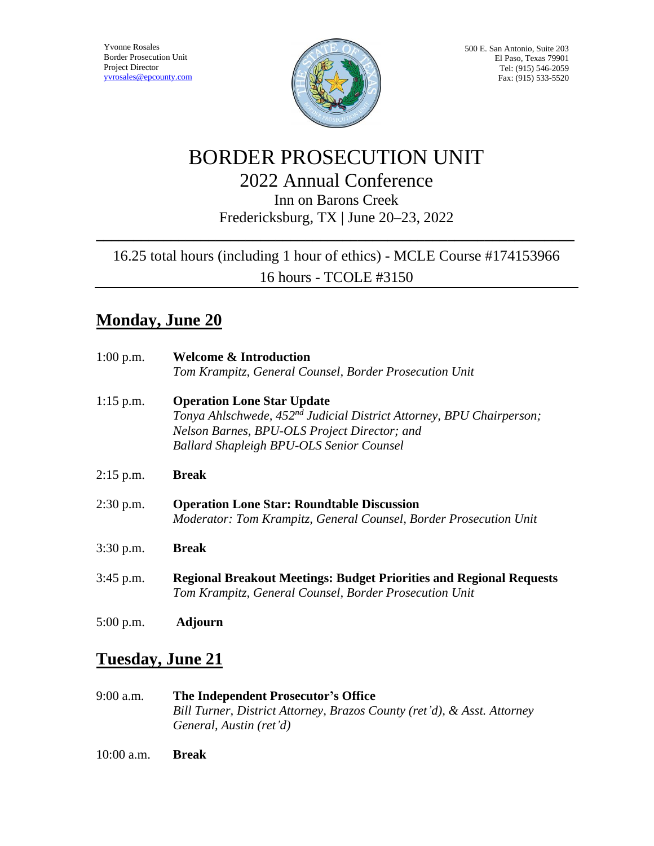

500 E. San Antonio, Suite 203 El Paso, Texas 79901 Tel: (915) 546-2059 Fax: (915) 533-5520

# BORDER PROSECUTION UNIT 2022 Annual Conference

Inn on Barons Creek Fredericksburg, TX | June 20–23, 2022

**\_\_\_\_\_\_\_\_\_\_\_\_\_\_\_\_\_\_\_\_\_\_\_\_\_\_\_\_\_\_\_\_\_\_\_\_\_\_\_\_\_\_\_\_\_\_\_\_\_\_\_\_\_\_\_\_\_\_\_\_\_\_\_\_**

#### 16.25 total hours (including 1 hour of ethics) - MCLE Course #174153966 16 hours - TCOLE #3150

#### **Monday, June 20**

| $1:00$ p.m. | <b>Welcome &amp; Introduction</b><br>Tom Krampitz, General Counsel, Border Prosecution Unit                                                                                                                              |
|-------------|--------------------------------------------------------------------------------------------------------------------------------------------------------------------------------------------------------------------------|
| $1:15$ p.m. | <b>Operation Lone Star Update</b><br>Tonya Ahlschwede, 452 <sup>nd</sup> Judicial District Attorney, BPU Chairperson;<br>Nelson Barnes, BPU-OLS Project Director; and<br><b>Ballard Shapleigh BPU-OLS Senior Counsel</b> |
| $2:15$ p.m. | <b>Break</b>                                                                                                                                                                                                             |
| $2:30$ p.m. | <b>Operation Lone Star: Roundtable Discussion</b><br>Moderator: Tom Krampitz, General Counsel, Border Prosecution Unit                                                                                                   |
| $3:30$ p.m. | <b>Break</b>                                                                                                                                                                                                             |
| $3:45$ p.m. | <b>Regional Breakout Meetings: Budget Priorities and Regional Requests</b><br>Tom Krampitz, General Counsel, Border Prosecution Unit                                                                                     |
| $5:00$ p.m. | <b>Adjourn</b>                                                                                                                                                                                                           |

#### **Tuesday, June 21**

9:00 a.m. **The Independent Prosecutor's Office** *Bill Turner, District Attorney, Brazos County (ret'd), & Asst. Attorney General, Austin (ret'd)*

10:00 a.m. **Break**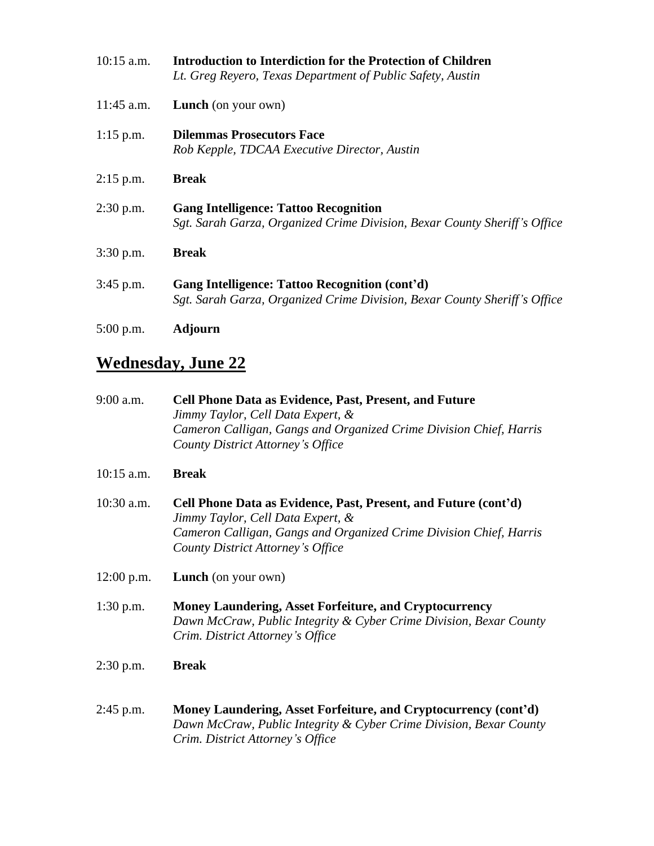| $10:15$ a.m. | <b>Introduction to Interdiction for the Protection of Children</b><br>Lt. Greg Reyero, Texas Department of Public Safety, Austin |
|--------------|----------------------------------------------------------------------------------------------------------------------------------|
| $11:45$ a.m. | <b>Lunch</b> (on your own)                                                                                                       |
| $1:15$ p.m.  | <b>Dilemmas Prosecutors Face</b><br>Rob Kepple, TDCAA Executive Director, Austin                                                 |
| $2:15$ p.m.  | <b>Break</b>                                                                                                                     |
| $2:30$ p.m.  | <b>Gang Intelligence: Tattoo Recognition</b><br>Sgt. Sarah Garza, Organized Crime Division, Bexar County Sheriff's Office        |
| $3:30$ p.m.  | <b>Break</b>                                                                                                                     |
| $3:45$ p.m.  | Gang Intelligence: Tattoo Recognition (cont'd)<br>Sgt. Sarah Garza, Organized Crime Division, Bexar County Sheriff's Office      |
| $5:00$ p.m.  | Adjourn                                                                                                                          |

## **Wednesday, June 22**

| 9:00 a.m.    | <b>Cell Phone Data as Evidence, Past, Present, and Future</b><br>Jimmy Taylor, Cell Data Expert, &<br>Cameron Calligan, Gangs and Organized Crime Division Chief, Harris<br>County District Attorney's Office   |
|--------------|-----------------------------------------------------------------------------------------------------------------------------------------------------------------------------------------------------------------|
| 10:15 a.m.   | <b>Break</b>                                                                                                                                                                                                    |
| 10:30 a.m.   | Cell Phone Data as Evidence, Past, Present, and Future (cont'd)<br>Jimmy Taylor, Cell Data Expert, &<br>Cameron Calligan, Gangs and Organized Crime Division Chief, Harris<br>County District Attorney's Office |
| $12:00$ p.m. | <b>Lunch</b> (on your own)                                                                                                                                                                                      |
| $1:30$ p.m.  | <b>Money Laundering, Asset Forfeiture, and Cryptocurrency</b><br>Dawn McCraw, Public Integrity & Cyber Crime Division, Bexar County<br>Crim. District Attorney's Office                                         |
| $2:30$ p.m.  | <b>Break</b>                                                                                                                                                                                                    |
| 2:45 p.m.    | Money Laundering, Asset Forfeiture, and Cryptocurrency (cont'd)<br>Dawn McCraw, Public Integrity & Cyber Crime Division, Bexar County<br>Crim. District Attorney's Office                                       |